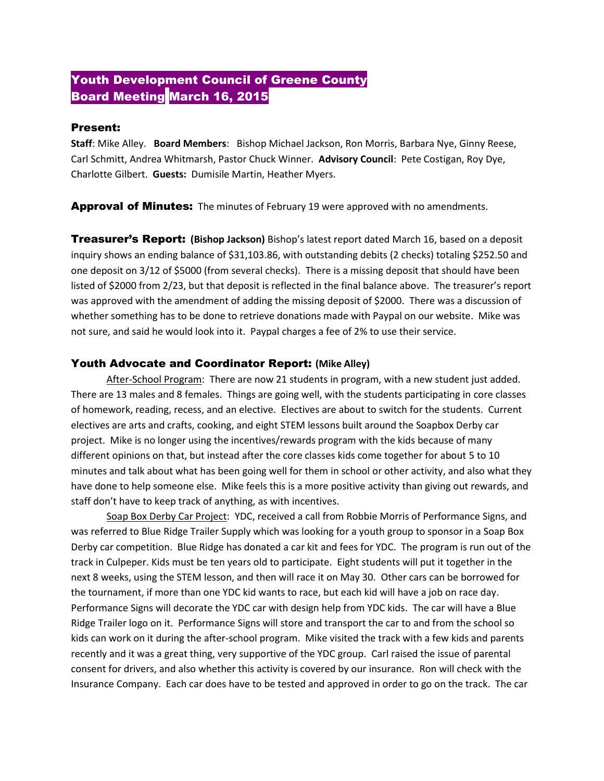# Youth Development Council of Greene County Board Meeting March 16, 2015

#### Present:

**Staff**: Mike Alley. **Board Members**: Bishop Michael Jackson, Ron Morris, Barbara Nye, Ginny Reese, Carl Schmitt, Andrea Whitmarsh, Pastor Chuck Winner. **Advisory Council**: Pete Costigan, Roy Dye, Charlotte Gilbert. **Guests:** Dumisile Martin, Heather Myers.

**Approval of Minutes:** The minutes of February 19 were approved with no amendments.

Treasurer's Report: **(Bishop Jackson)** Bishop's latest report dated March 16, based on a deposit inquiry shows an ending balance of \$31,103.86, with outstanding debits (2 checks) totaling \$252.50 and one deposit on 3/12 of \$5000 (from several checks). There is a missing deposit that should have been listed of \$2000 from 2/23, but that deposit is reflected in the final balance above. The treasurer's report was approved with the amendment of adding the missing deposit of \$2000. There was a discussion of whether something has to be done to retrieve donations made with Paypal on our website. Mike was not sure, and said he would look into it. Paypal charges a fee of 2% to use their service.

#### Youth Advocate and Coordinator Report: **(Mike Alley)**

After-School Program: There are now 21 students in program, with a new student just added. There are 13 males and 8 females. Things are going well, with the students participating in core classes of homework, reading, recess, and an elective. Electives are about to switch for the students. Current electives are arts and crafts, cooking, and eight STEM lessons built around the Soapbox Derby car project. Mike is no longer using the incentives/rewards program with the kids because of many different opinions on that, but instead after the core classes kids come together for about 5 to 10 minutes and talk about what has been going well for them in school or other activity, and also what they have done to help someone else. Mike feels this is a more positive activity than giving out rewards, and staff don't have to keep track of anything, as with incentives.

Soap Box Derby Car Project: YDC, received a call from Robbie Morris of Performance Signs, and was referred to Blue Ridge Trailer Supply which was looking for a youth group to sponsor in a Soap Box Derby car competition. Blue Ridge has donated a car kit and fees for YDC. The program is run out of the track in Culpeper. Kids must be ten years old to participate. Eight students will put it together in the next 8 weeks, using the STEM lesson, and then will race it on May 30. Other cars can be borrowed for the tournament, if more than one YDC kid wants to race, but each kid will have a job on race day. Performance Signs will decorate the YDC car with design help from YDC kids. The car will have a Blue Ridge Trailer logo on it. Performance Signs will store and transport the car to and from the school so kids can work on it during the after-school program. Mike visited the track with a few kids and parents recently and it was a great thing, very supportive of the YDC group. Carl raised the issue of parental consent for drivers, and also whether this activity is covered by our insurance. Ron will check with the Insurance Company. Each car does have to be tested and approved in order to go on the track. The car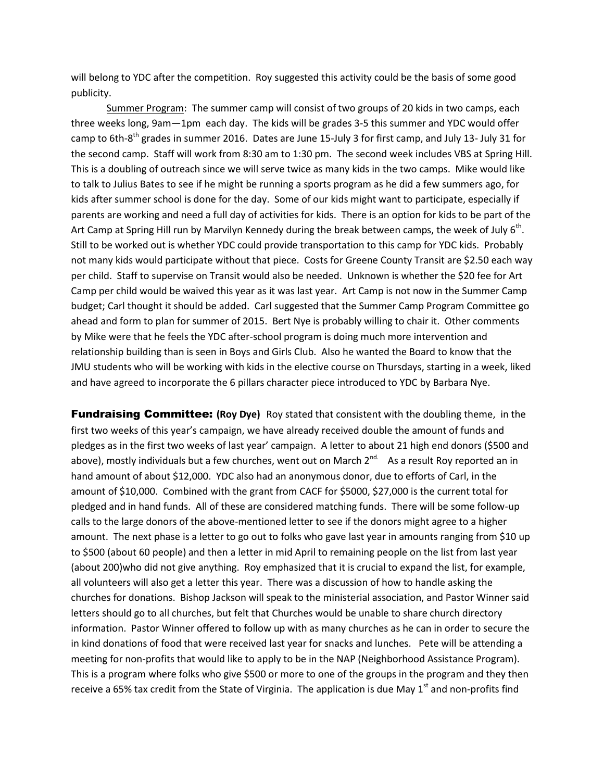will belong to YDC after the competition. Roy suggested this activity could be the basis of some good publicity.

Summer Program: The summer camp will consist of two groups of 20 kids in two camps, each three weeks long, 9am—1pm each day. The kids will be grades 3-5 this summer and YDC would offer camp to 6th-8<sup>th</sup> grades in summer 2016. Dates are June 15-July 3 for first camp, and July 13- July 31 for the second camp. Staff will work from 8:30 am to 1:30 pm. The second week includes VBS at Spring Hill. This is a doubling of outreach since we will serve twice as many kids in the two camps. Mike would like to talk to Julius Bates to see if he might be running a sports program as he did a few summers ago, for kids after summer school is done for the day. Some of our kids might want to participate, especially if parents are working and need a full day of activities for kids. There is an option for kids to be part of the Art Camp at Spring Hill run by Marvilyn Kennedy during the break between camps, the week of July 6<sup>th</sup>. Still to be worked out is whether YDC could provide transportation to this camp for YDC kids. Probably not many kids would participate without that piece. Costs for Greene County Transit are \$2.50 each way per child. Staff to supervise on Transit would also be needed. Unknown is whether the \$20 fee for Art Camp per child would be waived this year as it was last year. Art Camp is not now in the Summer Camp budget; Carl thought it should be added. Carl suggested that the Summer Camp Program Committee go ahead and form to plan for summer of 2015. Bert Nye is probably willing to chair it. Other comments by Mike were that he feels the YDC after-school program is doing much more intervention and relationship building than is seen in Boys and Girls Club. Also he wanted the Board to know that the JMU students who will be working with kids in the elective course on Thursdays, starting in a week, liked and have agreed to incorporate the 6 pillars character piece introduced to YDC by Barbara Nye.

**Fundraising Committee:** (Roy Dye) Roy stated that consistent with the doubling theme, in the first two weeks of this year's campaign, we have already received double the amount of funds and pledges as in the first two weeks of last year' campaign. A letter to about 21 high end donors (\$500 and above), mostly individuals but a few churches, went out on March 2<sup>nd.</sup> As a result Roy reported an in hand amount of about \$12,000. YDC also had an anonymous donor, due to efforts of Carl, in the amount of \$10,000. Combined with the grant from CACF for \$5000, \$27,000 is the current total for pledged and in hand funds. All of these are considered matching funds. There will be some follow-up calls to the large donors of the above-mentioned letter to see if the donors might agree to a higher amount. The next phase is a letter to go out to folks who gave last year in amounts ranging from \$10 up to \$500 (about 60 people) and then a letter in mid April to remaining people on the list from last year (about 200)who did not give anything. Roy emphasized that it is crucial to expand the list, for example, all volunteers will also get a letter this year. There was a discussion of how to handle asking the churches for donations. Bishop Jackson will speak to the ministerial association, and Pastor Winner said letters should go to all churches, but felt that Churches would be unable to share church directory information. Pastor Winner offered to follow up with as many churches as he can in order to secure the in kind donations of food that were received last year for snacks and lunches. Pete will be attending a meeting for non-profits that would like to apply to be in the NAP (Neighborhood Assistance Program). This is a program where folks who give \$500 or more to one of the groups in the program and they then receive a 65% tax credit from the State of Virginia. The application is due May  $1<sup>st</sup>$  and non-profits find